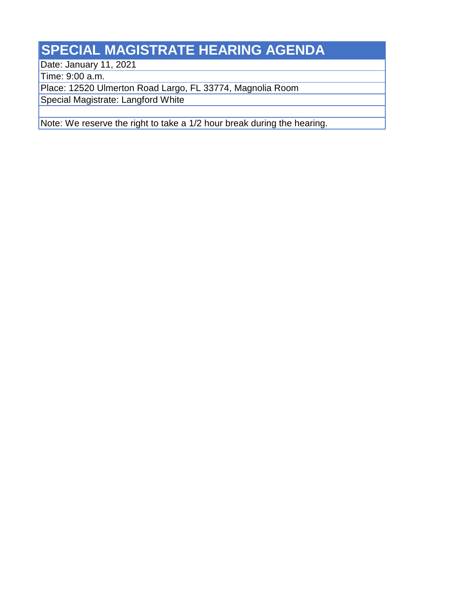## **SPECIAL MAGISTRATE HEARING AGENDA**

Date: January 11, 2021

Time: 9:00 a.m.

Place: 12520 Ulmerton Road Largo, FL 33774, Magnolia Room

Special Magistrate: Langford White

Note: We reserve the right to take a 1/2 hour break during the hearing.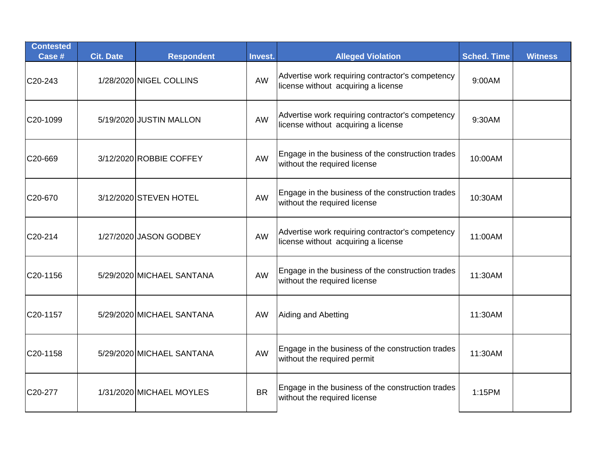| <b>Contested</b><br>Case # | <b>Cit. Date</b> | <b>Respondent</b>         | Invest.   | <b>Alleged Violation</b>                                                                | <b>Sched. Time</b> | <b>Witness</b> |
|----------------------------|------------------|---------------------------|-----------|-----------------------------------------------------------------------------------------|--------------------|----------------|
| C20-243                    |                  | 1/28/2020 NIGEL COLLINS   | AW        | Advertise work requiring contractor's competency<br>license without acquiring a license | 9:00AM             |                |
| C20-1099                   |                  | 5/19/2020 JUSTIN MALLON   | AW        | Advertise work requiring contractor's competency<br>license without acquiring a license | 9:30AM             |                |
| C20-669                    |                  | 3/12/2020 ROBBIE COFFEY   | AW        | Engage in the business of the construction trades<br>without the required license       | 10:00AM            |                |
| C20-670                    |                  | 3/12/2020 STEVEN HOTEL    | <b>AW</b> | Engage in the business of the construction trades<br>without the required license       | 10:30AM            |                |
| C20-214                    |                  | 1/27/2020 JASON GODBEY    | AW        | Advertise work requiring contractor's competency<br>license without acquiring a license | 11:00AM            |                |
| C20-1156                   |                  | 5/29/2020 MICHAEL SANTANA | AW        | Engage in the business of the construction trades<br>without the required license       | 11:30AM            |                |
| C20-1157                   |                  | 5/29/2020 MICHAEL SANTANA | <b>AW</b> | Aiding and Abetting                                                                     | 11:30AM            |                |
| C20-1158                   |                  | 5/29/2020 MICHAEL SANTANA | AW        | Engage in the business of the construction trades<br>without the required permit        | 11:30AM            |                |
| C20-277                    |                  | 1/31/2020 MICHAEL MOYLES  | <b>BR</b> | Engage in the business of the construction trades<br>without the required license       | 1:15PM             |                |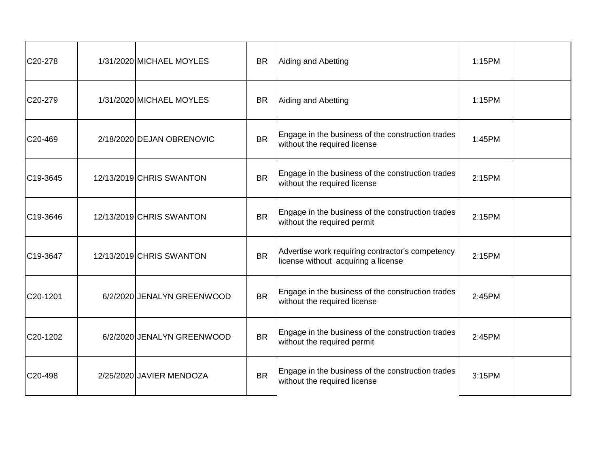| C20-278               | 1/31/2020 MICHAEL MOYLES   | <b>BR</b> | Aiding and Abetting                                                                     | 1:15PM |  |
|-----------------------|----------------------------|-----------|-----------------------------------------------------------------------------------------|--------|--|
| C20-279               | 1/31/2020 MICHAEL MOYLES   | <b>BR</b> | Aiding and Abetting                                                                     | 1:15PM |  |
| C20-469               | 2/18/2020 DEJAN OBRENOVIC  | <b>BR</b> | Engage in the business of the construction trades<br>without the required license       | 1:45PM |  |
| C <sub>19</sub> -3645 | 12/13/2019 CHRIS SWANTON   | <b>BR</b> | Engage in the business of the construction trades<br>without the required license       | 2:15PM |  |
| C <sub>19</sub> -3646 | 12/13/2019 CHRIS SWANTON   | <b>BR</b> | Engage in the business of the construction trades<br>without the required permit        | 2:15PM |  |
| C19-3647              | 12/13/2019 CHRIS SWANTON   | <b>BR</b> | Advertise work requiring contractor's competency<br>license without acquiring a license | 2:15PM |  |
| C20-1201              | 6/2/2020 JENALYN GREENWOOD | <b>BR</b> | Engage in the business of the construction trades<br>without the required license       | 2:45PM |  |
| C20-1202              | 6/2/2020 JENALYN GREENWOOD | <b>BR</b> | Engage in the business of the construction trades<br>without the required permit        | 2:45PM |  |
| C20-498               | 2/25/2020 JAVIER MENDOZA   | <b>BR</b> | Engage in the business of the construction trades<br>without the required license       | 3:15PM |  |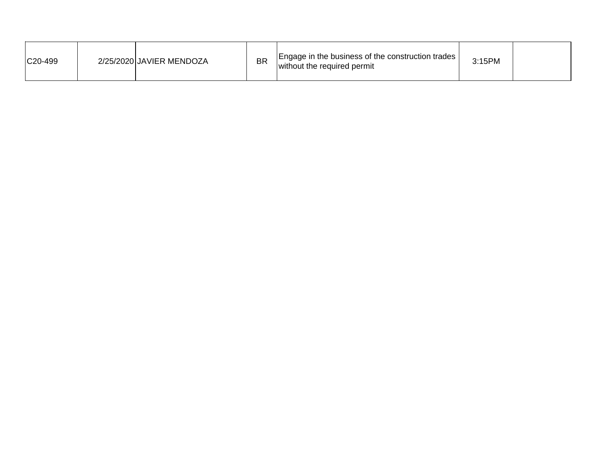| C20-499 |  | 2/25/2020 JAVIER MENDOZA | <b>BR</b> | [Engage in the business of the construction trades]<br>without the required permit | 3:15PM |  |
|---------|--|--------------------------|-----------|------------------------------------------------------------------------------------|--------|--|
|---------|--|--------------------------|-----------|------------------------------------------------------------------------------------|--------|--|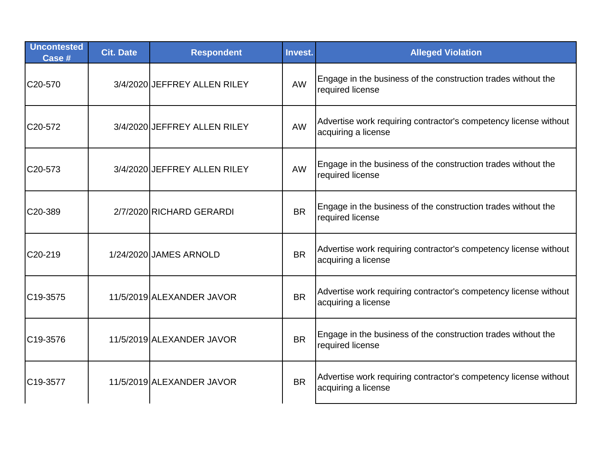| <b>Uncontested</b><br>Case # | <b>Cit. Date</b> | <b>Respondent</b>            | Invest.   | <b>Alleged Violation</b>                                                                |
|------------------------------|------------------|------------------------------|-----------|-----------------------------------------------------------------------------------------|
| C20-570                      |                  | 3/4/2020 JEFFREY ALLEN RILEY | <b>AW</b> | Engage in the business of the construction trades without the<br>required license       |
| C20-572                      |                  | 3/4/2020 JEFFREY ALLEN RILEY | <b>AW</b> | Advertise work requiring contractor's competency license without<br>acquiring a license |
| C <sub>20</sub> -573         |                  | 3/4/2020 JEFFREY ALLEN RILEY | <b>AW</b> | Engage in the business of the construction trades without the<br>required license       |
| C20-389                      |                  | 2/7/2020 RICHARD GERARDI     | <b>BR</b> | Engage in the business of the construction trades without the<br>required license       |
| C20-219                      |                  | 1/24/2020 JAMES ARNOLD       | <b>BR</b> | Advertise work requiring contractor's competency license without<br>acquiring a license |
| C19-3575                     |                  | 11/5/2019 ALEXANDER JAVOR    | <b>BR</b> | Advertise work requiring contractor's competency license without<br>acquiring a license |
| C19-3576                     |                  | 11/5/2019 ALEXANDER JAVOR    | <b>BR</b> | Engage in the business of the construction trades without the<br>required license       |
| C19-3577                     |                  | 11/5/2019 ALEXANDER JAVOR    | <b>BR</b> | Advertise work requiring contractor's competency license without<br>acquiring a license |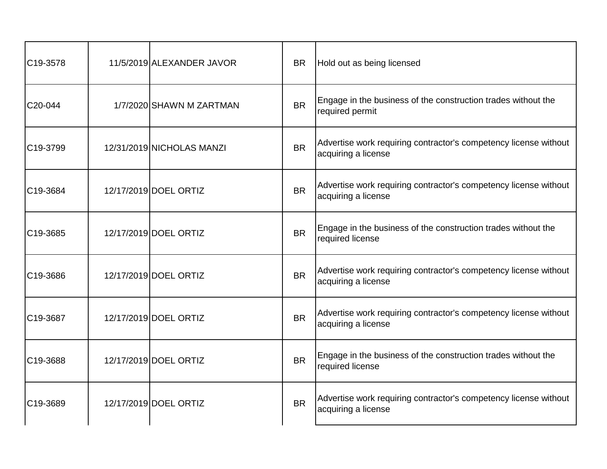| C19-3578 | 11/5/2019 ALEXANDER JAVOR | <b>BR</b> | Hold out as being licensed                                                              |
|----------|---------------------------|-----------|-----------------------------------------------------------------------------------------|
| C20-044  | 1/7/2020 SHAWN M ZARTMAN  | <b>BR</b> | Engage in the business of the construction trades without the<br>required permit        |
| C19-3799 | 12/31/2019 NICHOLAS MANZI | <b>BR</b> | Advertise work requiring contractor's competency license without<br>acquiring a license |
| C19-3684 | 12/17/2019 DOEL ORTIZ     | <b>BR</b> | Advertise work requiring contractor's competency license without<br>acquiring a license |
| C19-3685 | 12/17/2019 DOEL ORTIZ     | <b>BR</b> | Engage in the business of the construction trades without the<br>required license       |
| C19-3686 | 12/17/2019 DOEL ORTIZ     | <b>BR</b> | Advertise work requiring contractor's competency license without<br>acquiring a license |
| C19-3687 | 12/17/2019 DOEL ORTIZ     | <b>BR</b> | Advertise work requiring contractor's competency license without<br>acquiring a license |
| C19-3688 | 12/17/2019 DOEL ORTIZ     | <b>BR</b> | Engage in the business of the construction trades without the<br>required license       |
| C19-3689 | 12/17/2019 DOEL ORTIZ     | <b>BR</b> | Advertise work requiring contractor's competency license without<br>acquiring a license |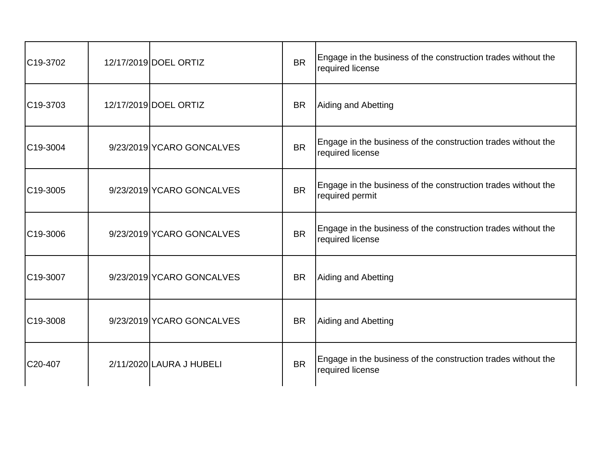| C <sub>19</sub> -3702 | 12/17/2019 DOEL ORTIZ     | <b>BR</b> | Engage in the business of the construction trades without the<br>required license |
|-----------------------|---------------------------|-----------|-----------------------------------------------------------------------------------|
| C <sub>19</sub> -3703 | 12/17/2019 DOEL ORTIZ     | <b>BR</b> | Aiding and Abetting                                                               |
| C <sub>19</sub> -3004 | 9/23/2019 YCARO GONCALVES | <b>BR</b> | Engage in the business of the construction trades without the<br>required license |
| C19-3005              | 9/23/2019 YCARO GONCALVES | <b>BR</b> | Engage in the business of the construction trades without the<br>required permit  |
| C19-3006              | 9/23/2019 YCARO GONCALVES | <b>BR</b> | Engage in the business of the construction trades without the<br>required license |
| C19-3007              | 9/23/2019 YCARO GONCALVES | <b>BR</b> | Aiding and Abetting                                                               |
| C19-3008              | 9/23/2019 YCARO GONCALVES | <b>BR</b> | Aiding and Abetting                                                               |
| C20-407               | 2/11/2020 LAURA J HUBELI  | <b>BR</b> | Engage in the business of the construction trades without the<br>required license |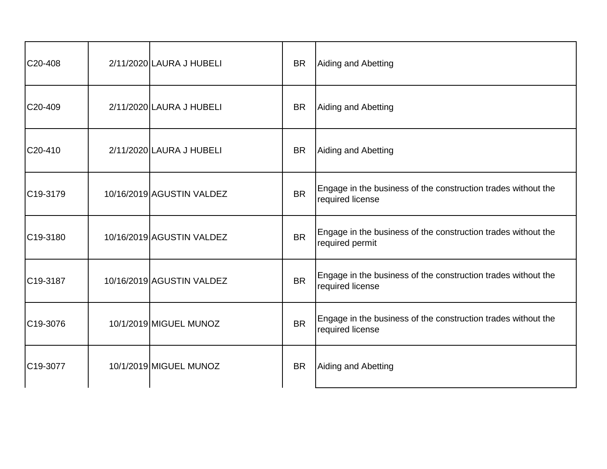| C20-408               | 2/11/2020 LAURA J HUBELI  | <b>BR</b> | Aiding and Abetting                                                               |
|-----------------------|---------------------------|-----------|-----------------------------------------------------------------------------------|
| C20-409               | 2/11/2020 LAURA J HUBELI  | <b>BR</b> | Aiding and Abetting                                                               |
| C20-410               | 2/11/2020 LAURA J HUBELI  | <b>BR</b> | Aiding and Abetting                                                               |
| C <sub>19</sub> -3179 | 10/16/2019 AGUSTIN VALDEZ | <b>BR</b> | Engage in the business of the construction trades without the<br>required license |
| C19-3180              | 10/16/2019 AGUSTIN VALDEZ | <b>BR</b> | Engage in the business of the construction trades without the<br>required permit  |
| C19-3187              | 10/16/2019 AGUSTIN VALDEZ | <b>BR</b> | Engage in the business of the construction trades without the<br>required license |
| C19-3076              | 10/1/2019 MIGUEL MUNOZ    | <b>BR</b> | Engage in the business of the construction trades without the<br>required license |
| C19-3077              | 10/1/2019 MIGUEL MUNOZ    | <b>BR</b> | Aiding and Abetting                                                               |